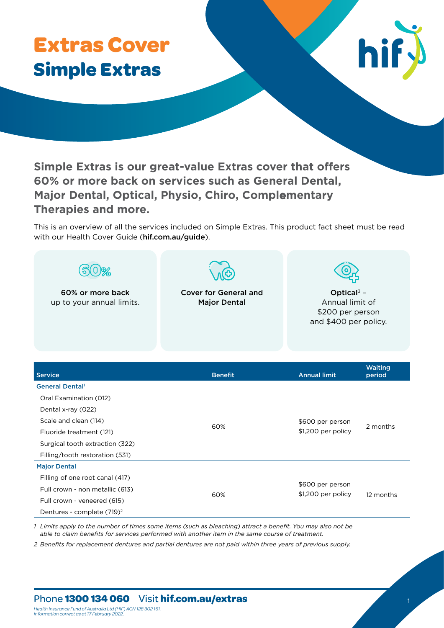# **Extras Cover Simple Extras**



**Simple Extras is our great-value Extras cover that offers 60% or more back on services such as General Dental, Major Dental, Optical, Physio, Chiro, Complementary Therapies and more.**

This is an overview of all the services included on Simple Extras. This product fact sheet must be read with our Health Cover Guide (hif.com.au/quide).

| 60% or more back<br>up to your annual limits.               | <b>Cover for General and</b><br><b>Major Dental</b> | Optical $3 -$<br>Annual limit of<br>\$200 per person<br>and \$400 per policy. |                   |
|-------------------------------------------------------------|-----------------------------------------------------|-------------------------------------------------------------------------------|-------------------|
| <b>Service</b>                                              | <b>Benefit</b>                                      | <b>Annual limit</b>                                                           | Waiting<br>period |
| <b>General Dental</b>                                       |                                                     |                                                                               |                   |
| Oral Examination (012)                                      |                                                     |                                                                               |                   |
| Dental x-ray (022)                                          |                                                     |                                                                               |                   |
| Scale and clean (114)                                       | 60%                                                 | \$600 per person<br>\$1,200 per policy                                        | 2 months          |
| Fluoride treatment (121)<br>Surgical tooth extraction (322) |                                                     |                                                                               |                   |
| Filling/tooth restoration (531)                             |                                                     |                                                                               |                   |
| <b>Major Dental</b>                                         |                                                     |                                                                               |                   |
| Filling of one root canal (417)                             |                                                     |                                                                               |                   |
| Full crown - non metallic (613)                             | 60%                                                 | \$600 per person<br>\$1,200 per policy                                        |                   |
| Full crown - veneered (615)                                 |                                                     |                                                                               | 12 months         |
| Dentures - complete (719) <sup>2</sup>                      |                                                     |                                                                               |                   |

*1 Limits apply to the number of times some items (such as bleaching) attract a benefit. You may also not be able to claim benefits for services performed with another item in the same course of treatment.* 

*2 Benefits for replacement dentures and partial dentures are not paid within three years of previous supply.* 

## Phone **1300 134 060** Visit hif.com.au/extras

*Health Insurance Fund of Australia Ltd (HIF) ACN 128 302 161. Information correct as at 17 February 2022.*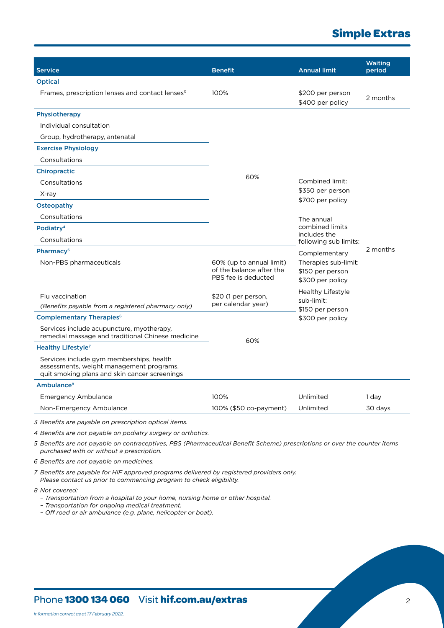# **Simple Extras**

| <b>Service</b>                                                                                                                                                         | <b>Benefit</b>                                                              | <b>Annual limit</b>                                          | <b>Waiting</b><br>period |
|------------------------------------------------------------------------------------------------------------------------------------------------------------------------|-----------------------------------------------------------------------------|--------------------------------------------------------------|--------------------------|
| <b>Optical</b>                                                                                                                                                         |                                                                             |                                                              |                          |
| Frames, prescription lenses and contact lenses <sup>3</sup>                                                                                                            | 100%                                                                        | \$200 per person<br>\$400 per policy                         | 2 months                 |
| Physiotherapy                                                                                                                                                          |                                                                             |                                                              |                          |
| Individual consultation                                                                                                                                                |                                                                             |                                                              |                          |
| Group, hydrotherapy, antenatal                                                                                                                                         |                                                                             |                                                              |                          |
| <b>Exercise Physiology</b>                                                                                                                                             |                                                                             |                                                              |                          |
| Consultations                                                                                                                                                          |                                                                             |                                                              |                          |
| <b>Chiropractic</b>                                                                                                                                                    |                                                                             |                                                              |                          |
| Consultations                                                                                                                                                          | 60%                                                                         | Combined limit:                                              |                          |
| X-ray                                                                                                                                                                  |                                                                             | \$350 per person                                             |                          |
| Osteopathy                                                                                                                                                             |                                                                             | \$700 per policy                                             |                          |
| Consultations                                                                                                                                                          |                                                                             | The annual                                                   |                          |
| Podiatry <sup>4</sup>                                                                                                                                                  |                                                                             | combined limits                                              |                          |
| Consultations                                                                                                                                                          |                                                                             | includes the<br>following sub limits:                        |                          |
| Pharmacy <sup>5</sup>                                                                                                                                                  |                                                                             | Complementary                                                | 2 months                 |
| Non-PBS pharmaceuticals                                                                                                                                                | 60% (up to annual limit)<br>of the balance after the<br>PBS fee is deducted | Therapies sub-limit:<br>\$150 per person<br>\$300 per policy |                          |
| Flu vaccination                                                                                                                                                        | \$20 (1 per person,                                                         | <b>Healthy Lifestyle</b>                                     |                          |
| (Benefits payable from a registered pharmacy only)                                                                                                                     | per calendar year)                                                          | sub-limit:                                                   |                          |
| <b>Complementary Therapies<sup>6</sup></b>                                                                                                                             |                                                                             | \$150 per person<br>\$300 per policy                         |                          |
| Services include acupuncture, myotherapy,<br>remedial massage and traditional Chinese medicine                                                                         | 60%                                                                         |                                                              |                          |
| Healthy Lifestyle <sup>7</sup>                                                                                                                                         |                                                                             |                                                              |                          |
| Services include gym memberships, health<br>assessments, weight management programs,<br>quit smoking plans and skin cancer screenings                                  |                                                                             |                                                              |                          |
| Ambulance <sup>8</sup>                                                                                                                                                 |                                                                             |                                                              |                          |
| <b>Emergency Ambulance</b>                                                                                                                                             | 100%                                                                        | Unlimited                                                    | 1 day                    |
| Non-Emergency Ambulance                                                                                                                                                | 100% (\$50 co-payment)                                                      | Unlimited                                                    | 30 days                  |
| 3 Benefits are payable on prescription optical items.                                                                                                                  |                                                                             |                                                              |                          |
| 4 Benefits are not payable on podiatry surgery or orthotics.                                                                                                           |                                                                             |                                                              |                          |
| 5 Benefits are not payable on contraceptives, PBS (Pharmaceutical Benefit Scheme) prescriptions or over the counter items<br>purchased with or without a prescription. |                                                                             |                                                              |                          |
| 6 Benefits are not payable on medicines.                                                                                                                               |                                                                             |                                                              |                          |

*7 Benefits are payable for HIF approved programs delivered by registered providers only. Please contact us prior to commencing program to check eligibility.*

*8 Not covered:*

*– Transportation from a hospital to your home, nursing home or other hospital.*

*– Transportation for ongoing medical treatment.*

*– Off road or air ambulance (e.g. plane, helicopter or boat).*

## Phone **1300 134 060** Visit **hif.com.au/extras** 2